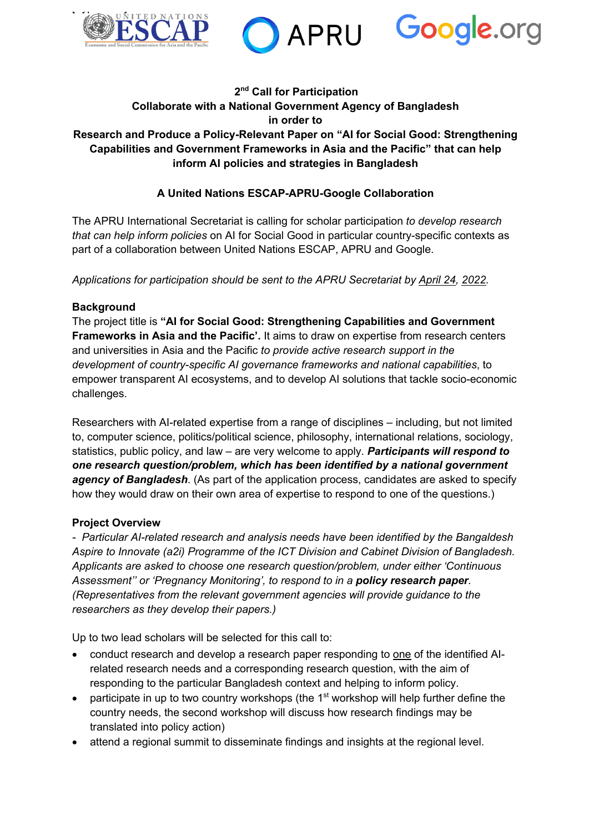





#### **2 nd Call for Participation Collaborate with a National Government Agency of Bangladesh in order to Research and Produce a Policy-Relevant Paper on "AI for Social Good: Strengthening Capabilities and Government Frameworks in Asia and the Pacific" that can help inform AI policies and strategies in Bangladesh**

# **A United Nations ESCAP-APRU-Google Collaboration**

The APRU International Secretariat is calling for scholar participation *to develop research that can help inform policies* on AI for Social Good in particular country-specific contexts as part of a collaboration between United Nations ESCAP, APRU and Google.

*Applications for participation should be sent to the APRU Secretariat by April 24, 2022.*

#### **Background**

The project title is **"AI for Social Good: Strengthening Capabilities and Government Frameworks in Asia and the Pacific'.** It aims to draw on expertise from research centers and universities in Asia and the Pacific *to provide active research support in the development of country-specific AI governance frameworks and national capabilities*, to empower transparent AI ecosystems, and to develop AI solutions that tackle socio-economic challenges.

Researchers with AI-related expertise from a range of disciplines – including, but not limited to, computer science, politics/political science, philosophy, international relations, sociology, statistics, public policy, and law – are very welcome to apply. *Participants will respond to one research question/problem, which has been identified by a national government agency of Bangladesh*. (As part of the application process, candidates are asked to specify how they would draw on their own area of expertise to respond to one of the questions.)

#### **Project Overview**

*- Particular AI-related research and analysis needs have been identified by the Bangaldesh Aspire to Innovate (a2i) Programme of the ICT Division and Cabinet Division of Bangladesh. Applicants are asked to choose one research question/problem, under either 'Continuous Assessment'' or 'Pregnancy Monitoring', to respond to in a policy research paper. (Representatives from the relevant government agencies will provide guidance to the researchers as they develop their papers.)*

Up to two lead scholars will be selected for this call to:

- conduct research and develop a research paper responding to one of the identified AIrelated research needs and a corresponding research question, with the aim of responding to the particular Bangladesh context and helping to inform policy.
- participate in up to two country workshops (the  $1<sup>st</sup>$  workshop will help further define the country needs, the second workshop will discuss how research findings may be translated into policy action)
- attend a regional summit to disseminate findings and insights at the regional level.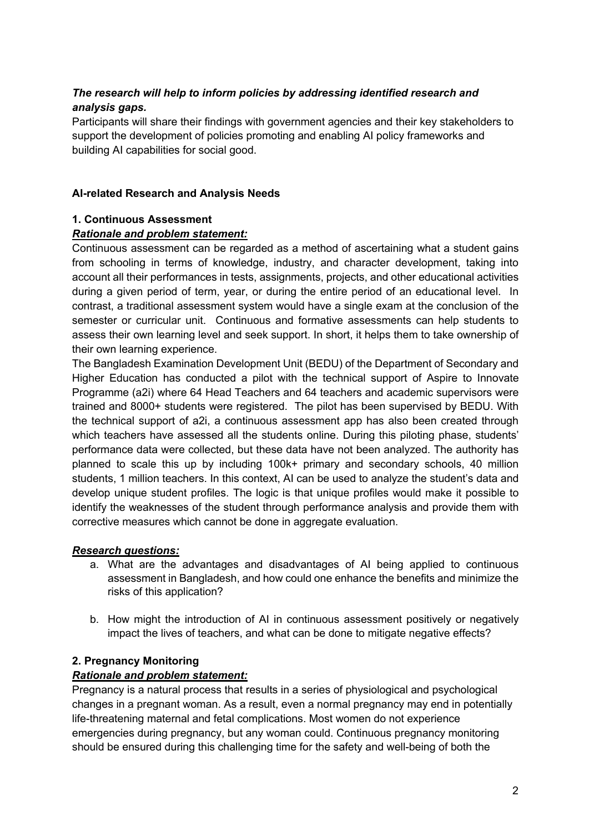# *The research will help to inform policies by addressing identified research and analysis gaps.*

Participants will share their findings with government agencies and their key stakeholders to support the development of policies promoting and enabling AI policy frameworks and building AI capabilities for social good.

### **AI-related Research and Analysis Needs**

#### **1. Continuous Assessment**

# *Rationale and problem statement:*

Continuous assessment can be regarded as a method of ascertaining what a student gains from schooling in terms of knowledge, industry, and character development, taking into account all their performances in tests, assignments, projects, and other educational activities during a given period of term, year, or during the entire period of an educational level. In contrast, a traditional assessment system would have a single exam at the conclusion of the semester or curricular unit. Continuous and formative assessments can help students to assess their own learning level and seek support. In short, it helps them to take ownership of their own learning experience.

The Bangladesh Examination Development Unit (BEDU) of the Department of Secondary and Higher Education has conducted a pilot with the technical support of Aspire to Innovate Programme (a2i) where 64 Head Teachers and 64 teachers and academic supervisors were trained and 8000+ students were registered. The pilot has been supervised by BEDU. With the technical support of a2i, a continuous assessment app has also been created through which teachers have assessed all the students online. During this piloting phase, students' performance data were collected, but these data have not been analyzed. The authority has planned to scale this up by including 100k+ primary and secondary schools, 40 million students, 1 million teachers. In this context, AI can be used to analyze the student's data and develop unique student profiles. The logic is that unique profiles would make it possible to identify the weaknesses of the student through performance analysis and provide them with corrective measures which cannot be done in aggregate evaluation.

#### *Research questions:*

- a. What are the advantages and disadvantages of AI being applied to continuous assessment in Bangladesh, and how could one enhance the benefits and minimize the risks of this application?
- b. How might the introduction of AI in continuous assessment positively or negatively impact the lives of teachers, and what can be done to mitigate negative effects?

# **2. Pregnancy Monitoring**

#### *Rationale and problem statement:*

Pregnancy is a natural process that results in a series of physiological and psychological changes in a pregnant woman. As a result, even a normal pregnancy may end in potentially life-threatening maternal and fetal complications. Most women do not experience emergencies during pregnancy, but any woman could. Continuous pregnancy monitoring should be ensured during this challenging time for the safety and well-being of both the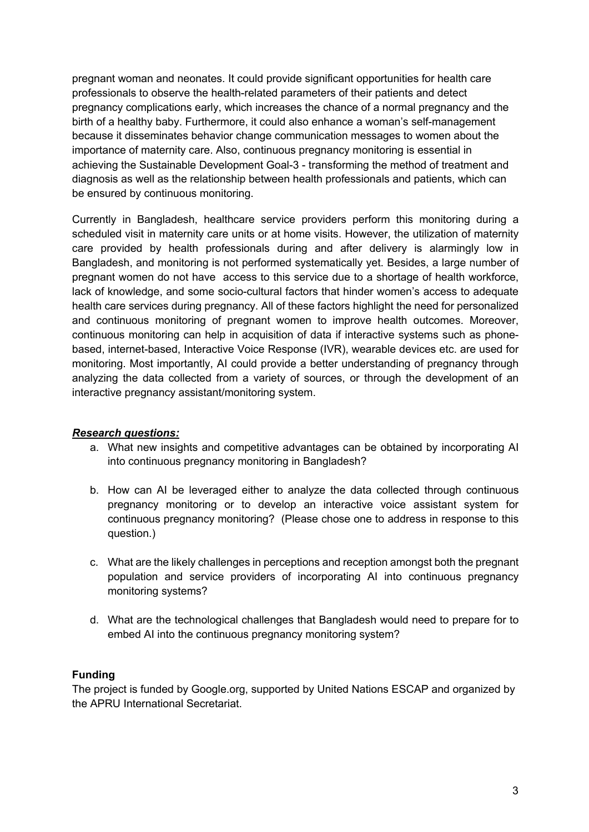pregnant woman and neonates. It could provide significant opportunities for health care professionals to observe the health-related parameters of their patients and detect pregnancy complications early, which increases the chance of a normal pregnancy and the birth of a healthy baby. Furthermore, it could also enhance a woman's self-management because it disseminates behavior change communication messages to women about the importance of maternity care. Also, continuous pregnancy monitoring is essential in achieving the Sustainable Development Goal-3 - transforming the method of treatment and diagnosis as well as the relationship between health professionals and patients, which can be ensured by continuous monitoring.

Currently in Bangladesh, healthcare service providers perform this monitoring during a scheduled visit in maternity care units or at home visits. However, the utilization of maternity care provided by health professionals during and after delivery is alarmingly low in Bangladesh, and monitoring is not performed systematically yet. Besides, a large number of pregnant women do not have access to this service due to a shortage of health workforce, lack of knowledge, and some socio-cultural factors that hinder women's access to adequate health care services during pregnancy. All of these factors highlight the need for personalized and continuous monitoring of pregnant women to improve health outcomes. Moreover, continuous monitoring can help in acquisition of data if interactive systems such as phonebased, internet-based, Interactive Voice Response (IVR), wearable devices etc. are used for monitoring. Most importantly, AI could provide a better understanding of pregnancy through analyzing the data collected from a variety of sources, or through the development of an interactive pregnancy assistant/monitoring system.

#### *Research questions:*

- a. What new insights and competitive advantages can be obtained by incorporating AI into continuous pregnancy monitoring in Bangladesh?
- b. How can AI be leveraged either to analyze the data collected through continuous pregnancy monitoring or to develop an interactive voice assistant system for continuous pregnancy monitoring? (Please chose one to address in response to this question.)
- c. What are the likely challenges in perceptions and reception amongst both the pregnant population and service providers of incorporating AI into continuous pregnancy monitoring systems?
- d. What are the technological challenges that Bangladesh would need to prepare for to embed AI into the continuous pregnancy monitoring system?

#### **Funding**

The project is funded by Google.org, supported by United Nations ESCAP and organized by the APRU International Secretariat.